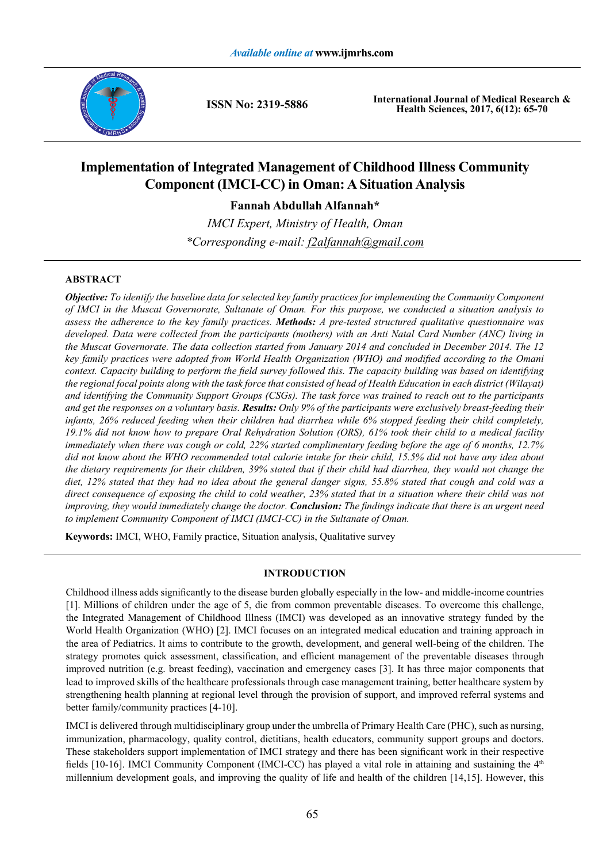

**ISSN No: 2319-5886**

**International Journal of Medical Research & Health Sciences, 2017, 6(12): 65-70**

# **Implementation of Integrated Management of Childhood Illness Community Component (IMCI-CC) in Oman: A Situation Analysis**

**Fannah Abdullah Alfannah\***

*IMCI Expert, Ministry of Health, Oman \*Corresponding e-mail: f2alfannah@gmail.com*

# **ABSTRACT**

*Objective: To identify the baseline data for selected key family practices for implementing the Community Component of IMCI in the Muscat Governorate, Sultanate of Oman. For this purpose, we conducted a situation analysis to assess the adherence to the key family practices. Methods: A pre-tested structured qualitative questionnaire was*  developed. Data were collected from the participants (mothers) with an Anti Natal Card Number (ANC) living in *the Muscat Governorate. The data collection started from January 2014 and concluded in December 2014. The 12 key family practices were adopted from World Health Organization (WHO) and modified according to the Omani context. Capacity building to perform the field survey followed this. The capacity building was based on identifying the regional focal points along with the task force that consisted of head of Health Education in each district (Wilayat) and identifying the Community Support Groups (CSGs). The task force was trained to reach out to the participants and get the responses on a voluntary basis. Results: Only 9% of the participants were exclusively breast-feeding their infants, 26% reduced feeding when their children had diarrhea while 6% stopped feeding their child completely, 19.1% did not know how to prepare Oral Rehydration Solution (ORS), 61% took their child to a medical facility immediately when there was cough or cold, 22% started complimentary feeding before the age of 6 months, 12.7% did not know about the WHO recommended total calorie intake for their child, 15.5% did not have any idea about the dietary requirements for their children, 39% stated that if their child had diarrhea, they would not change the diet, 12% stated that they had no idea about the general danger signs, 55.8% stated that cough and cold was a direct consequence of exposing the child to cold weather, 23% stated that in a situation where their child was not improving, they would immediately change the doctor. Conclusion: The findings indicate that there is an urgent need to implement Community Component of IMCI (IMCI-CC) in the Sultanate of Oman.*

**Keywords:** IMCI, WHO, Family practice, Situation analysis, Qualitative survey

# **INTRODUCTION**

Childhood illness adds significantly to the disease burden globally especially in the low- and middle-income countries [1]. Millions of children under the age of 5, die from common preventable diseases. To overcome this challenge, the Integrated Management of Childhood Illness (IMCI) was developed as an innovative strategy funded by the World Health Organization (WHO) [2]. IMCI focuses on an integrated medical education and training approach in the area of Pediatrics. It aims to contribute to the growth, development, and general well-being of the children. The strategy promotes quick assessment, classification, and efficient management of the preventable diseases through improved nutrition (e.g. breast feeding), vaccination and emergency cases [3]. It has three major components that lead to improved skills of the healthcare professionals through case management training, better healthcare system by strengthening health planning at regional level through the provision of support, and improved referral systems and better family/community practices [4-10].

IMCI is delivered through multidisciplinary group under the umbrella of Primary Health Care (PHC), such as nursing, immunization, pharmacology, quality control, dietitians, health educators, community support groups and doctors. These stakeholders support implementation of IMCI strategy and there has been significant work in their respective fields [10-16]. IMCI Community Component (IMCI-CC) has played a vital role in attaining and sustaining the  $4<sup>th</sup>$ millennium development goals, and improving the quality of life and health of the children [14,15]. However, this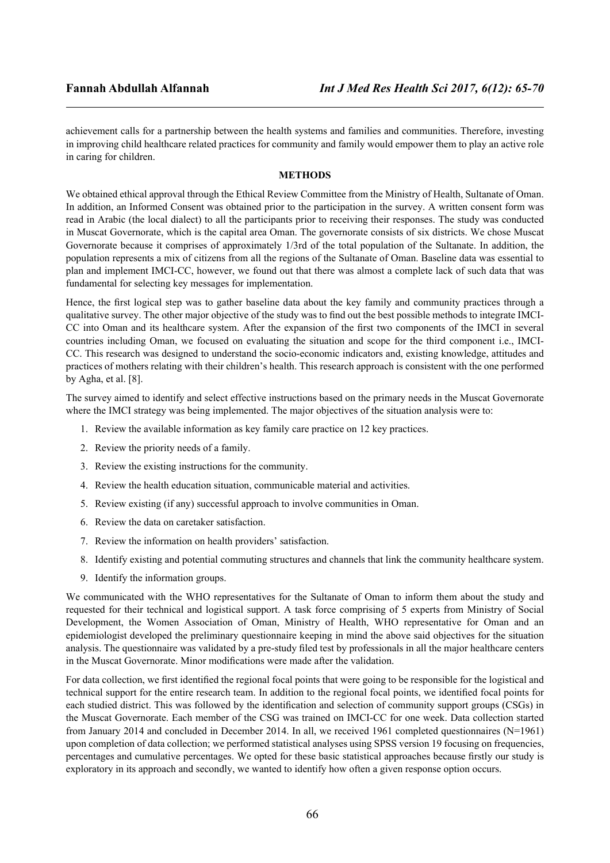achievement calls for a partnership between the health systems and families and communities. Therefore, investing in improving child healthcare related practices for community and family would empower them to play an active role in caring for children.

## **METHODS**

We obtained ethical approval through the Ethical Review Committee from the Ministry of Health, Sultanate of Oman. In addition, an Informed Consent was obtained prior to the participation in the survey. A written consent form was read in Arabic (the local dialect) to all the participants prior to receiving their responses. The study was conducted in Muscat Governorate, which is the capital area Oman. The governorate consists of six districts. We chose Muscat Governorate because it comprises of approximately 1/3rd of the total population of the Sultanate. In addition, the population represents a mix of citizens from all the regions of the Sultanate of Oman. Baseline data was essential to plan and implement IMCI-CC, however, we found out that there was almost a complete lack of such data that was fundamental for selecting key messages for implementation.

Hence, the first logical step was to gather baseline data about the key family and community practices through a qualitative survey. The other major objective of the study was to find out the best possible methods to integrate IMCI-CC into Oman and its healthcare system. After the expansion of the first two components of the IMCI in several countries including Oman, we focused on evaluating the situation and scope for the third component i.e., IMCI-CC. This research was designed to understand the socio-economic indicators and, existing knowledge, attitudes and practices of mothers relating with their children's health. This research approach is consistent with the one performed by Agha, et al. [8].

The survey aimed to identify and select effective instructions based on the primary needs in the Muscat Governorate where the IMCI strategy was being implemented. The major objectives of the situation analysis were to:

- 1. Review the available information as key family care practice on 12 key practices.
- 2. Review the priority needs of a family.
- 3. Review the existing instructions for the community.
- 4. Review the health education situation, communicable material and activities.
- 5. Review existing (if any) successful approach to involve communities in Oman.
- 6. Review the data on caretaker satisfaction.
- 7. Review the information on health providers' satisfaction.
- 8. Identify existing and potential commuting structures and channels that link the community healthcare system.
- 9. Identify the information groups.

We communicated with the WHO representatives for the Sultanate of Oman to inform them about the study and requested for their technical and logistical support. A task force comprising of 5 experts from Ministry of Social Development, the Women Association of Oman, Ministry of Health, WHO representative for Oman and an epidemiologist developed the preliminary questionnaire keeping in mind the above said objectives for the situation analysis. The questionnaire was validated by a pre-study filed test by professionals in all the major healthcare centers in the Muscat Governorate. Minor modifications were made after the validation.

For data collection, we first identified the regional focal points that were going to be responsible for the logistical and technical support for the entire research team. In addition to the regional focal points, we identified focal points for each studied district. This was followed by the identification and selection of community support groups (CSGs) in the Muscat Governorate. Each member of the CSG was trained on IMCI-CC for one week. Data collection started from January 2014 and concluded in December 2014. In all, we received 1961 completed questionnaires (N=1961) upon completion of data collection; we performed statistical analyses using SPSS version 19 focusing on frequencies, percentages and cumulative percentages. We opted for these basic statistical approaches because firstly our study is exploratory in its approach and secondly, we wanted to identify how often a given response option occurs.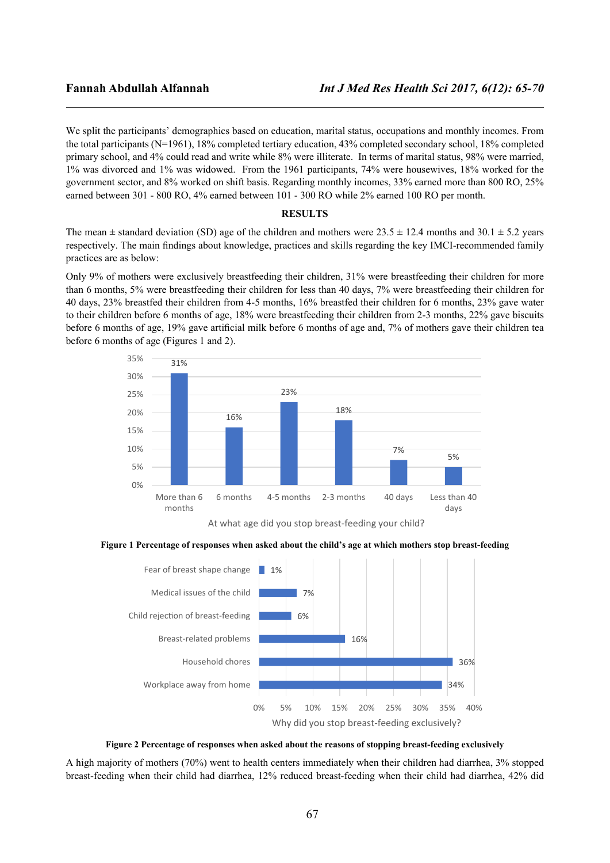We split the participants' demographics based on education, marital status, occupations and monthly incomes. From the total participants (N=1961), 18% completed tertiary education, 43% completed secondary school, 18% completed primary school, and 4% could read and write while 8% were illiterate. In terms of marital status, 98% were married, 1% was divorced and 1% was widowed. From the 1961 participants, 74% were housewives, 18% worked for the government sector, and 8% worked on shift basis. Regarding monthly incomes, 33% earned more than 800 RO, 25% earned between 301 - 800 RO, 4% earned between 101 - 300 RO while 2% earned 100 RO per month.

### **RESULTS**

The mean  $\pm$  standard deviation (SD) age of the children and mothers were 23.5  $\pm$  12.4 months and 30.1  $\pm$  5.2 years respectively. The main findings about knowledge, practices and skills regarding the key IMCI-recommended family practices are as below:

Only 9% of mothers were exclusively breastfeeding their children, 31% were breastfeeding their children for more than 6 months, 5% were breastfeeding their children for less than 40 days, 7% were breastfeeding their children for 40 days, 23% breastfed their children from 4-5 months, 16% breastfed their children for 6 months, 23% gave water to their children before 6 months of age, 18% were breastfeeding their children from 2-3 months, 22% gave biscuits before 6 months of age, 19% gave artificial milk before 6 months of age and, 7% of mothers gave their children tea before 6 months of age (Figures 1 and 2).



At what age did you stop breast-feeding your child?

### **Figure 1 Percentage of responses when asked about the child's age at which mothers stop breast-feeding**





A high majority of mothers (70%) went to health centers immediately when their children had diarrhea, 3% stopped breast-feeding when their child had diarrhea, 12% reduced breast-feeding when their child had diarrhea, 42% did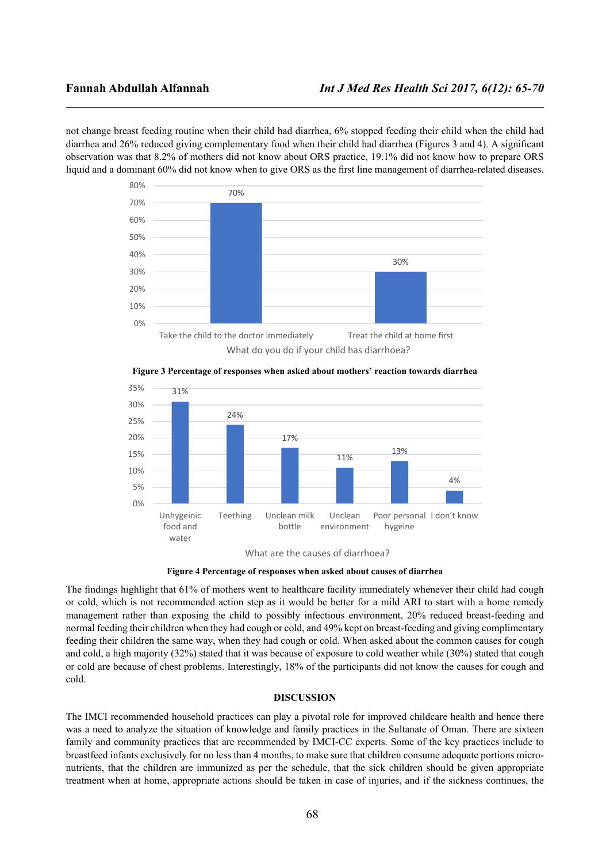not change breast feeding routine when their child had diarrhea, 6% stopped feeding their child when the child had diarrhea and 26% reduced giving complementary food when their child had diarrhea (Figures 3 and 4). A significant observation was that 8.2% of mothers did not know about ORS practice, 19.1% did not know how to prepare ORS liquid and a dominant 60% did not know when to give ORS as the first line management of diarrhea-related diseases.





**Figure 3 Percentage of responses when asked about mothers' reaction towards diarrhea**

The findings highlight that 61% of mothers went to healthcare facility immediately whenever their child had cough or cold, which is not recommended action step as it would be better for a mild ARI to start with a home remedy management rather than exposing the child to possibly infectious environment, 20% reduced breast-feeding and normal feeding their children when they had cough or cold, and 49% kept on breast-feeding and giving complimentary feeding their children the same way, when they had cough or cold. When asked about the common causes for cough and cold, a high majority (32%) stated that it was because of exposure to cold weather while (30%) stated that cough or cold are because of chest problems. Interestingly, 18% of the participants did not know the causes for cough and cold.

### **DISCUSSION**

The IMCI recommended household practices can play a pivotal role for improved childcare health and hence there was a need to analyze the situation of knowledge and family practices in the Sultanate of Oman. There are sixteen family and community practices that are recommended by IMCI-CC experts. Some of the key practices include to breastfeed infants exclusively for no less than 4 months, to make sure that children consume adequate portions micronutrients, that the children are immunized as per the schedule, that the sick children should be given appropriate treatment when at home, appropriate actions should be taken in case of injuries, and if the sickness continues, the

What are the causes of diarrhoea?

**Figure 4 Percentage of responses when asked about causes of diarrhea**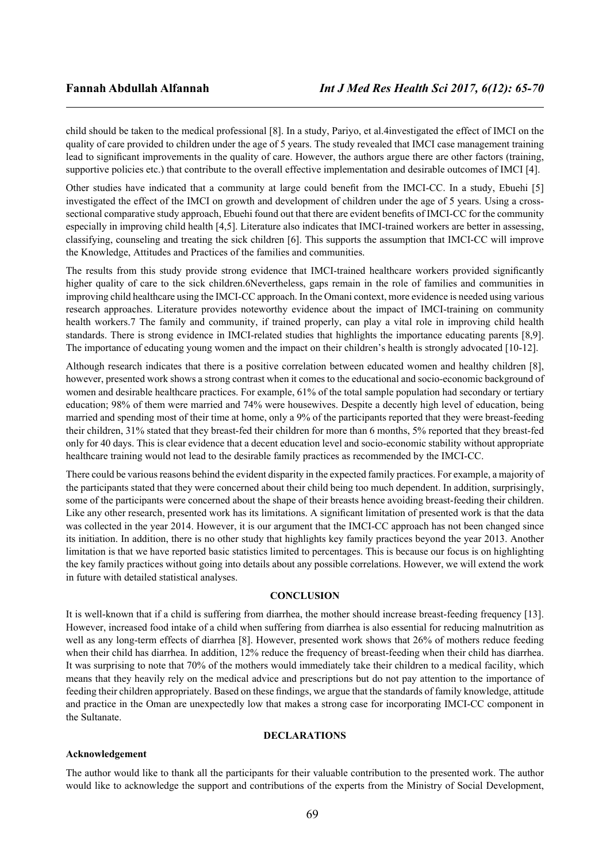child should be taken to the medical professional [8]. In a study, Pariyo, et al.4investigated the effect of IMCI on the quality of care provided to children under the age of 5 years. The study revealed that IMCI case management training lead to significant improvements in the quality of care. However, the authors argue there are other factors (training, supportive policies etc.) that contribute to the overall effective implementation and desirable outcomes of IMCI [4].

Other studies have indicated that a community at large could benefit from the IMCI-CC. In a study, Ebuehi [5] investigated the effect of the IMCI on growth and development of children under the age of 5 years. Using a crosssectional comparative study approach, Ebuehi found out that there are evident benefits of IMCI-CC for the community especially in improving child health [4,5]. Literature also indicates that IMCI-trained workers are better in assessing, classifying, counseling and treating the sick children [6]. This supports the assumption that IMCI-CC will improve the Knowledge, Attitudes and Practices of the families and communities.

The results from this study provide strong evidence that IMCI-trained healthcare workers provided significantly higher quality of care to the sick children.6Nevertheless, gaps remain in the role of families and communities in improving child healthcare using the IMCI-CC approach. In the Omani context, more evidence is needed using various research approaches. Literature provides noteworthy evidence about the impact of IMCI-training on community health workers.7 The family and community, if trained properly, can play a vital role in improving child health standards. There is strong evidence in IMCI-related studies that highlights the importance educating parents [8,9]. The importance of educating young women and the impact on their children's health is strongly advocated [10-12].

Although research indicates that there is a positive correlation between educated women and healthy children [8], however, presented work shows a strong contrast when it comes to the educational and socio-economic background of women and desirable healthcare practices. For example, 61% of the total sample population had secondary or tertiary education; 98% of them were married and 74% were housewives. Despite a decently high level of education, being married and spending most of their time at home, only a 9% of the participants reported that they were breast-feeding their children, 31% stated that they breast-fed their children for more than 6 months, 5% reported that they breast-fed only for 40 days. This is clear evidence that a decent education level and socio-economic stability without appropriate healthcare training would not lead to the desirable family practices as recommended by the IMCI-CC.

There could be various reasons behind the evident disparity in the expected family practices. For example, a majority of the participants stated that they were concerned about their child being too much dependent. In addition, surprisingly, some of the participants were concerned about the shape of their breasts hence avoiding breast-feeding their children. Like any other research, presented work has its limitations. A significant limitation of presented work is that the data was collected in the year 2014. However, it is our argument that the IMCI-CC approach has not been changed since its initiation. In addition, there is no other study that highlights key family practices beyond the year 2013. Another limitation is that we have reported basic statistics limited to percentages. This is because our focus is on highlighting the key family practices without going into details about any possible correlations. However, we will extend the work in future with detailed statistical analyses.

### **CONCLUSION**

It is well-known that if a child is suffering from diarrhea, the mother should increase breast-feeding frequency [13]. However, increased food intake of a child when suffering from diarrhea is also essential for reducing malnutrition as well as any long-term effects of diarrhea [8]. However, presented work shows that 26% of mothers reduce feeding when their child has diarrhea. In addition, 12% reduce the frequency of breast-feeding when their child has diarrhea. It was surprising to note that 70% of the mothers would immediately take their children to a medical facility, which means that they heavily rely on the medical advice and prescriptions but do not pay attention to the importance of feeding their children appropriately. Based on these findings, we argue that the standards of family knowledge, attitude and practice in the Oman are unexpectedly low that makes a strong case for incorporating IMCI-CC component in the Sultanate.

### **DECLARATIONS**

### **Acknowledgement**

The author would like to thank all the participants for their valuable contribution to the presented work. The author would like to acknowledge the support and contributions of the experts from the Ministry of Social Development,